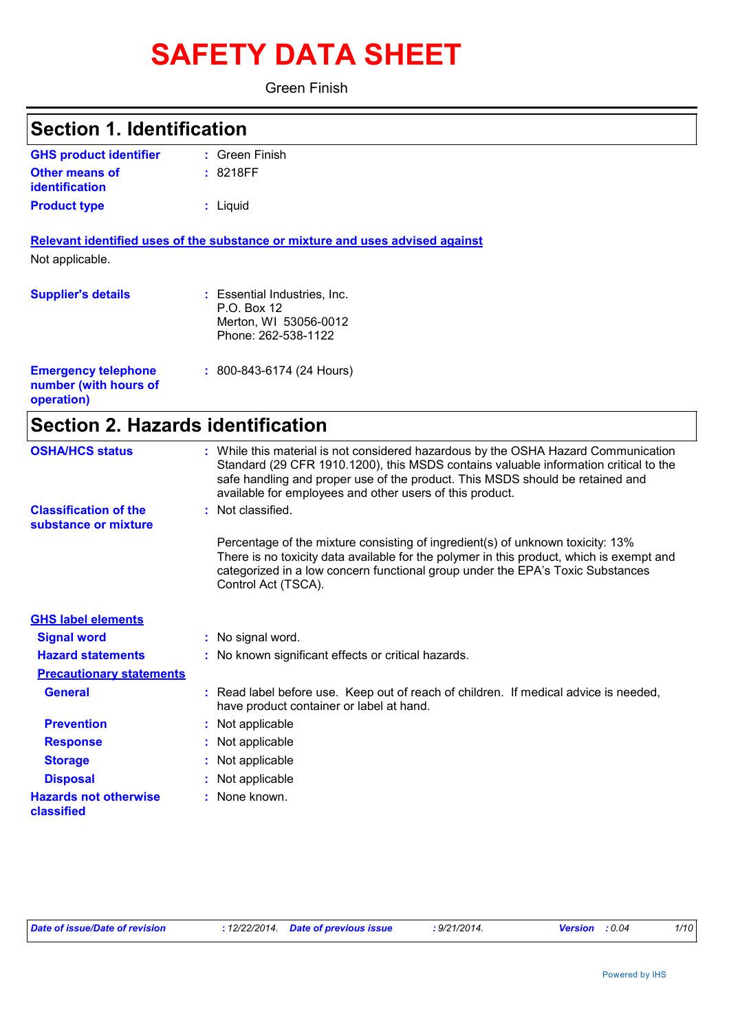# **SAFETY DATA SHEET**

Green Finish

| <b>Section 1. Identification</b>                                  |                                                                                                                                                                                                                                                                                                                         |
|-------------------------------------------------------------------|-------------------------------------------------------------------------------------------------------------------------------------------------------------------------------------------------------------------------------------------------------------------------------------------------------------------------|
| <b>GHS product identifier</b>                                     | : Green Finish                                                                                                                                                                                                                                                                                                          |
| <b>Other means of</b><br>identification                           | : 8218FF                                                                                                                                                                                                                                                                                                                |
| <b>Product type</b>                                               | : Liquid                                                                                                                                                                                                                                                                                                                |
|                                                                   | Relevant identified uses of the substance or mixture and uses advised against                                                                                                                                                                                                                                           |
| Not applicable.                                                   |                                                                                                                                                                                                                                                                                                                         |
| <b>Supplier's details</b>                                         | : Essential Industries, Inc.<br>P.O. Box 12<br>Merton, WI 53056-0012<br>Phone: 262-538-1122                                                                                                                                                                                                                             |
| <b>Emergency telephone</b><br>number (with hours of<br>operation) | : 800-843-6174 (24 Hours)                                                                                                                                                                                                                                                                                               |
| <b>Section 2. Hazards identification</b>                          |                                                                                                                                                                                                                                                                                                                         |
| <b>OSHA/HCS status</b>                                            | : While this material is not considered hazardous by the OSHA Hazard Communication<br>Standard (29 CFR 1910.1200), this MSDS contains valuable information critical to the<br>safe handling and proper use of the product. This MSDS should be retained and<br>available for employees and other users of this product. |
| <b>Classification of the</b><br>substance or mixture              | : Not classified.                                                                                                                                                                                                                                                                                                       |
|                                                                   | Percentage of the mixture consisting of ingredient(s) of unknown toxicity: 13%<br>There is no toxicity data available for the polymer in this product, which is exempt and<br>categorized in a low concern functional group under the EPA's Toxic Substances<br>Control Act (TSCA).                                     |
| <b>GHS label elements</b>                                         |                                                                                                                                                                                                                                                                                                                         |
| <b>Signal word</b>                                                | : No signal word.                                                                                                                                                                                                                                                                                                       |
| <b>Hazard statements</b>                                          | : No known significant effects or critical hazards.                                                                                                                                                                                                                                                                     |
| <b>Precautionary statements</b>                                   |                                                                                                                                                                                                                                                                                                                         |
| <b>General</b>                                                    | : Read label before use. Keep out of reach of children. If medical advice is needed,<br>have product container or label at hand.                                                                                                                                                                                        |
| <b>Prevention</b>                                                 | : Not applicable                                                                                                                                                                                                                                                                                                        |
| <b>Response</b>                                                   | : Not applicable                                                                                                                                                                                                                                                                                                        |
| <b>Storage</b>                                                    | : Not applicable                                                                                                                                                                                                                                                                                                        |
| <b>Disposal</b>                                                   | : Not applicable                                                                                                                                                                                                                                                                                                        |
| <b>Hazards not otherwise</b><br>classified                        | : None known.                                                                                                                                                                                                                                                                                                           |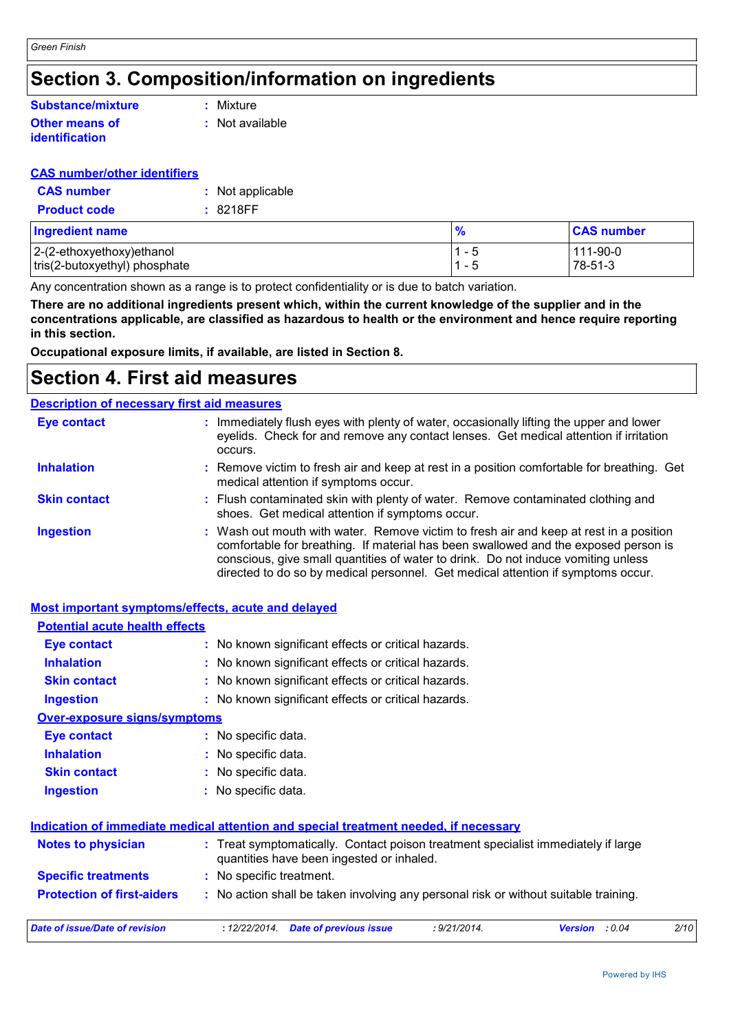# **Section 3. Composition/information on ingredients**

### **Other means of identification Substance/mixture**

**:** Mixture

**:** Not available

### **CAS number/other identifiers**

| <b>CAS</b> number   | : Not applicable |
|---------------------|------------------|
| <b>Product code</b> | :8218FF          |

| <b>Ingredient name</b>        | $\frac{9}{6}$ | <b>CAS number</b> |
|-------------------------------|---------------|-------------------|
| $ 2-(2-ethoxyethoxy)$ ethanol | 1 – 5         | 111-90-0          |
| tris(2-butoxyethyl) phosphate | $1 - 5$       | 78-51-3           |

Any concentration shown as a range is to protect confidentiality or is due to batch variation.

**There are no additional ingredients present which, within the current knowledge of the supplier and in the concentrations applicable, are classified as hazardous to health or the environment and hence require reporting in this section.**

**Occupational exposure limits, if available, are listed in Section 8.**

# **Section 4. First aid measures**

#### Wash out mouth with water. Remove victim to fresh air and keep at rest in a position comfortable for breathing. If material has been swallowed and the exposed person is conscious, give small quantities of water to drink. Do not induce vomiting unless directed to do so by medical personnel. Get medical attention if symptoms occur. **:** Immediately flush eyes with plenty of water, occasionally lifting the upper and lower eyelids. Check for and remove any contact lenses. Get medical attention if irritation occurs. Flush contaminated skin with plenty of water. Remove contaminated clothing and **:** shoes. Get medical attention if symptoms occur. Remove victim to fresh air and keep at rest in a position comfortable for breathing. Get **:** medical attention if symptoms occur. **Eye contact Skin contact Inhalation Ingestion : Description of necessary first aid measures**

### **Most important symptoms/effects, acute and delayed**

| <b>Potential acute health effects</b>                                                                                                                       |                                                                                                    |  |  |  |
|-------------------------------------------------------------------------------------------------------------------------------------------------------------|----------------------------------------------------------------------------------------------------|--|--|--|
| <b>Eye contact</b>                                                                                                                                          | : No known significant effects or critical hazards.                                                |  |  |  |
| <b>Inhalation</b>                                                                                                                                           | : No known significant effects or critical hazards.                                                |  |  |  |
| <b>Skin contact</b>                                                                                                                                         | : No known significant effects or critical hazards.                                                |  |  |  |
| <b>Ingestion</b>                                                                                                                                            | : No known significant effects or critical hazards.                                                |  |  |  |
| <b>Over-exposure signs/symptoms</b>                                                                                                                         |                                                                                                    |  |  |  |
| Eye contact                                                                                                                                                 | : No specific data.                                                                                |  |  |  |
| <b>Inhalation</b>                                                                                                                                           | : No specific data.                                                                                |  |  |  |
| <b>Skin contact</b>                                                                                                                                         | : No specific data.                                                                                |  |  |  |
| <b>Ingestion</b>                                                                                                                                            | : No specific data.                                                                                |  |  |  |
|                                                                                                                                                             | Indication of immediate medical attention and special treatment needed, if necessary               |  |  |  |
| <b>Notes to physician</b><br>: Treat symptomatically. Contact poison treatment specialist immediately if large<br>quantities have been ingested or inhaled. |                                                                                                    |  |  |  |
| <b>Specific treatments</b>                                                                                                                                  | : No specific treatment.                                                                           |  |  |  |
| <b>Protection of first-aiders</b>                                                                                                                           | : No action shall be taken involving any personal risk or without suitable training.               |  |  |  |
| <b>Date of issue/Date of revision</b>                                                                                                                       | : 9/21/2014.<br>2/10<br>: 12/22/2014.<br><b>Date of previous issue</b><br>: 0.04<br><b>Version</b> |  |  |  |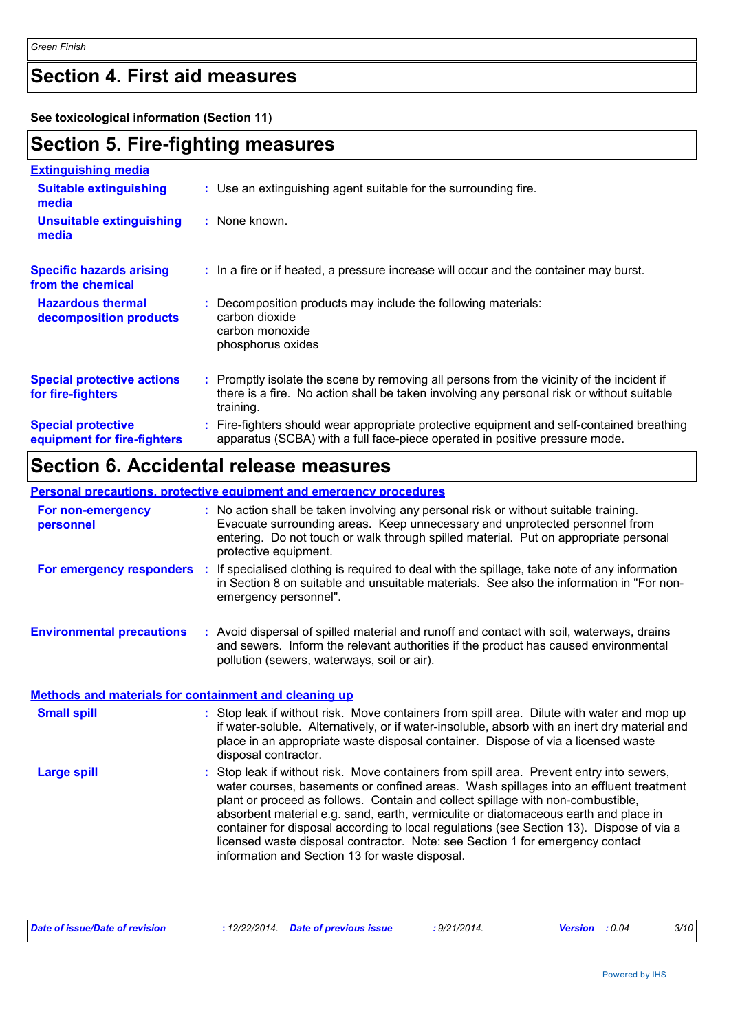# **Section 4. First aid measures**

**See toxicological information (Section 11)**

# **Section 5. Fire-fighting measures**

| <b>Extinguishing media</b>                               |                                                                                                                                                                                                     |
|----------------------------------------------------------|-----------------------------------------------------------------------------------------------------------------------------------------------------------------------------------------------------|
| <b>Suitable extinguishing</b><br>media                   | : Use an extinguishing agent suitable for the surrounding fire.                                                                                                                                     |
| <b>Unsuitable extinguishing</b><br>media                 | $:$ None known.                                                                                                                                                                                     |
| <b>Specific hazards arising</b><br>from the chemical     | : In a fire or if heated, a pressure increase will occur and the container may burst.                                                                                                               |
| <b>Hazardous thermal</b><br>decomposition products       | Decomposition products may include the following materials:<br>carbon dioxide<br>carbon monoxide<br>phosphorus oxides                                                                               |
| <b>Special protective actions</b><br>for fire-fighters   | : Promptly isolate the scene by removing all persons from the vicinity of the incident if<br>there is a fire. No action shall be taken involving any personal risk or without suitable<br>training. |
| <b>Special protective</b><br>equipment for fire-fighters | Fire-fighters should wear appropriate protective equipment and self-contained breathing<br>apparatus (SCBA) with a full face-piece operated in positive pressure mode.                              |

# **Section 6. Accidental release measures**

|                                                       | <b>Personal precautions, protective equipment and emergency procedures</b>                                                                                                                                                                                                                                                                                                                                                                                                                                                                                                                 |
|-------------------------------------------------------|--------------------------------------------------------------------------------------------------------------------------------------------------------------------------------------------------------------------------------------------------------------------------------------------------------------------------------------------------------------------------------------------------------------------------------------------------------------------------------------------------------------------------------------------------------------------------------------------|
| For non-emergency<br>personnel                        | : No action shall be taken involving any personal risk or without suitable training.<br>Evacuate surrounding areas. Keep unnecessary and unprotected personnel from<br>entering. Do not touch or walk through spilled material. Put on appropriate personal<br>protective equipment.                                                                                                                                                                                                                                                                                                       |
|                                                       | For emergency responders : If specialised clothing is required to deal with the spillage, take note of any information<br>in Section 8 on suitable and unsuitable materials. See also the information in "For non-<br>emergency personnel".                                                                                                                                                                                                                                                                                                                                                |
| <b>Environmental precautions</b>                      | : Avoid dispersal of spilled material and runoff and contact with soil, waterways, drains<br>and sewers. Inform the relevant authorities if the product has caused environmental<br>pollution (sewers, waterways, soil or air).                                                                                                                                                                                                                                                                                                                                                            |
| Methods and materials for containment and cleaning up |                                                                                                                                                                                                                                                                                                                                                                                                                                                                                                                                                                                            |
| <b>Small spill</b>                                    | : Stop leak if without risk. Move containers from spill area. Dilute with water and mop up<br>if water-soluble. Alternatively, or if water-insoluble, absorb with an inert dry material and<br>place in an appropriate waste disposal container. Dispose of via a licensed waste<br>disposal contractor.                                                                                                                                                                                                                                                                                   |
| <b>Large spill</b>                                    | : Stop leak if without risk. Move containers from spill area. Prevent entry into sewers,<br>water courses, basements or confined areas. Wash spillages into an effluent treatment<br>plant or proceed as follows. Contain and collect spillage with non-combustible,<br>absorbent material e.g. sand, earth, vermiculite or diatomaceous earth and place in<br>container for disposal according to local regulations (see Section 13). Dispose of via a<br>licensed waste disposal contractor. Note: see Section 1 for emergency contact<br>information and Section 13 for waste disposal. |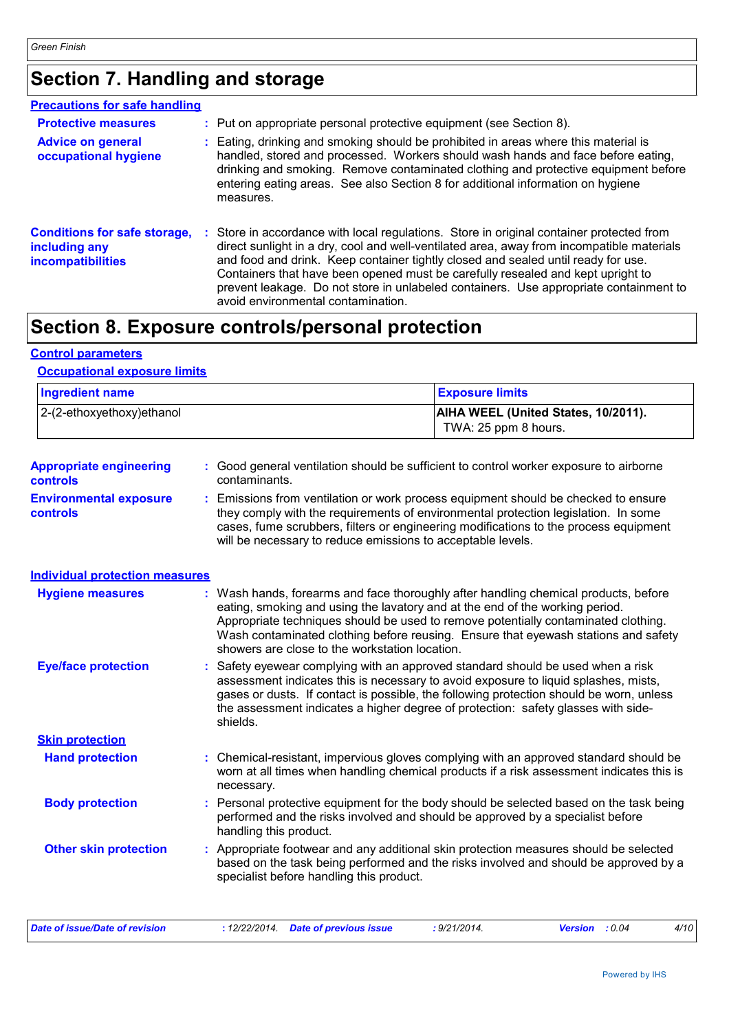# **Section 7. Handling and storage**

| <b>Precautions for safe handling</b>                                             |                                                                                                                                                                                                                                                                                                                                                                                                                                                                                            |
|----------------------------------------------------------------------------------|--------------------------------------------------------------------------------------------------------------------------------------------------------------------------------------------------------------------------------------------------------------------------------------------------------------------------------------------------------------------------------------------------------------------------------------------------------------------------------------------|
| <b>Protective measures</b>                                                       | : Put on appropriate personal protective equipment (see Section 8).                                                                                                                                                                                                                                                                                                                                                                                                                        |
| <b>Advice on general</b><br>occupational hygiene                                 | : Eating, drinking and smoking should be prohibited in areas where this material is<br>handled, stored and processed. Workers should wash hands and face before eating,<br>drinking and smoking. Remove contaminated clothing and protective equipment before<br>entering eating areas. See also Section 8 for additional information on hygiene<br>measures.                                                                                                                              |
| <b>Conditions for safe storage,</b><br>including any<br><b>incompatibilities</b> | Store in accordance with local regulations. Store in original container protected from<br>direct sunlight in a dry, cool and well-ventilated area, away from incompatible materials<br>and food and drink. Keep container tightly closed and sealed until ready for use.<br>Containers that have been opened must be carefully resealed and kept upright to<br>prevent leakage. Do not store in unlabeled containers. Use appropriate containment to<br>avoid environmental contamination. |

# **Section 8. Exposure controls/personal protection**

### **Control parameters**

### **Occupational exposure limits**

| <b>Ingredient name</b>        | <b>Exposure limits</b>                                             |  |
|-------------------------------|--------------------------------------------------------------------|--|
| $ 2-(2-ethoxyethoxy)e$ thanol | <b>AIHA WEEL (United States, 10/2011).</b><br>TWA: 25 ppm 8 hours. |  |

| <b>Appropriate engineering</b> | : Good general ventilation should be sufficient to control worker exposure to airborne |
|--------------------------------|----------------------------------------------------------------------------------------|
| controls                       | contaminants.                                                                          |
| <b>Environmental exposure</b>  | : Emissions from ventilation or work process equipment should be checked to ensure     |

```
controls
                      they comply with the requirements of environmental protection legislation. In some 
                      cases, fume scrubbers, filters or engineering modifications to the process equipment 
                      will be necessary to reduce emissions to acceptable levels.
```
### **Individual protection measures**

| <b>Hygiene measures</b>      | : Wash hands, forearms and face thoroughly after handling chemical products, before<br>eating, smoking and using the lavatory and at the end of the working period.<br>Appropriate techniques should be used to remove potentially contaminated clothing.<br>Wash contaminated clothing before reusing. Ensure that eyewash stations and safety<br>showers are close to the workstation location. |
|------------------------------|---------------------------------------------------------------------------------------------------------------------------------------------------------------------------------------------------------------------------------------------------------------------------------------------------------------------------------------------------------------------------------------------------|
| <b>Eye/face protection</b>   | : Safety eyewear complying with an approved standard should be used when a risk<br>assessment indicates this is necessary to avoid exposure to liquid splashes, mists,<br>gases or dusts. If contact is possible, the following protection should be worn, unless<br>the assessment indicates a higher degree of protection: safety glasses with side-<br>shields.                                |
| <b>Skin protection</b>       |                                                                                                                                                                                                                                                                                                                                                                                                   |
| <b>Hand protection</b>       | : Chemical-resistant, impervious gloves complying with an approved standard should be<br>worn at all times when handling chemical products if a risk assessment indicates this is<br>necessary.                                                                                                                                                                                                   |
| <b>Body protection</b>       | : Personal protective equipment for the body should be selected based on the task being<br>performed and the risks involved and should be approved by a specialist before<br>handling this product.                                                                                                                                                                                               |
| <b>Other skin protection</b> | : Appropriate footwear and any additional skin protection measures should be selected<br>based on the task being performed and the risks involved and should be approved by a<br>specialist before handling this product.                                                                                                                                                                         |

| Date of issue/Date of revision | : 12/22/2014 Date of previous issue | : 9/21/2014. | <b>Version</b> : 0.04 | 4/10 |
|--------------------------------|-------------------------------------|--------------|-----------------------|------|
|                                |                                     |              |                       |      |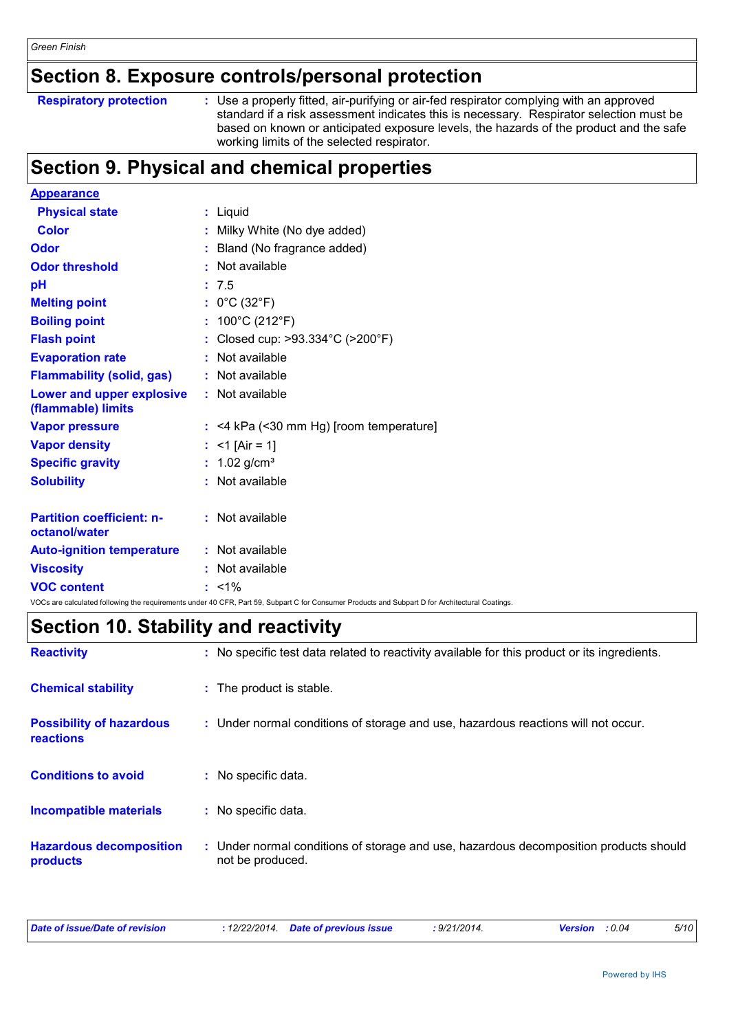# **Section 8. Exposure controls/personal protection**

|  | <b>Respiratory protection</b> |
|--|-------------------------------|
|  |                               |

**Respiratory protection** : Use a properly fitted, air-purifying or air-fed respirator complying with an approved standard if a risk assessment indicates this is necessary. Respirator selection must be based on known or anticipated exposure levels, the hazards of the product and the safe working limits of the selected respirator.

# **Section 9. Physical and chemical properties**

| <b>Appearance</b>                                 |                                                                                                                                                 |
|---------------------------------------------------|-------------------------------------------------------------------------------------------------------------------------------------------------|
| <b>Physical state</b>                             | : Liquid                                                                                                                                        |
| <b>Color</b>                                      | Milky White (No dye added)                                                                                                                      |
| <b>Odor</b>                                       | Bland (No fragrance added)                                                                                                                      |
| <b>Odor threshold</b>                             | : Not available                                                                                                                                 |
| рH                                                | : 7.5                                                                                                                                           |
| <b>Melting point</b>                              | : $0^{\circ}$ C (32 $^{\circ}$ F)                                                                                                               |
| <b>Boiling point</b>                              | : $100^{\circ}$ C (212 $^{\circ}$ F)                                                                                                            |
| <b>Flash point</b>                                | : Closed cup: >93.334°C (>200°F)                                                                                                                |
| <b>Evaporation rate</b>                           | : Not available                                                                                                                                 |
| <b>Flammability (solid, gas)</b>                  | : Not available                                                                                                                                 |
| Lower and upper explosive<br>(flammable) limits   | : Not available                                                                                                                                 |
| <b>Vapor pressure</b>                             | $:$ <4 kPa (<30 mm Hg) [room temperature]                                                                                                       |
| <b>Vapor density</b>                              | : <1 [Air = 1]                                                                                                                                  |
| <b>Specific gravity</b>                           | : $1.02$ g/cm <sup>3</sup>                                                                                                                      |
| <b>Solubility</b>                                 | : Not available                                                                                                                                 |
| <b>Partition coefficient: n-</b><br>octanol/water | : Not available                                                                                                                                 |
| <b>Auto-ignition temperature</b>                  | : Not available                                                                                                                                 |
| <b>Viscosity</b>                                  | : Not available                                                                                                                                 |
| <b>VOC content</b>                                | $: 1\%$                                                                                                                                         |
|                                                   | VOCs are calculated following the requirements under 40 CFR, Part 59, Subpart C for Consumer Products and Subpart D for Architectural Coatings. |

# **Section 10. Stability and reactivity**

| <b>Reactivity</b>                            | : No specific test data related to reactivity available for this product or its ingredients.              |  |
|----------------------------------------------|-----------------------------------------------------------------------------------------------------------|--|
| <b>Chemical stability</b>                    | : The product is stable.                                                                                  |  |
| <b>Possibility of hazardous</b><br>reactions | : Under normal conditions of storage and use, hazardous reactions will not occur.                         |  |
| <b>Conditions to avoid</b>                   | : No specific data.                                                                                       |  |
| <b>Incompatible materials</b>                | : No specific data.                                                                                       |  |
| <b>Hazardous decomposition</b><br>products   | : Under normal conditions of storage and use, hazardous decomposition products should<br>not be produced. |  |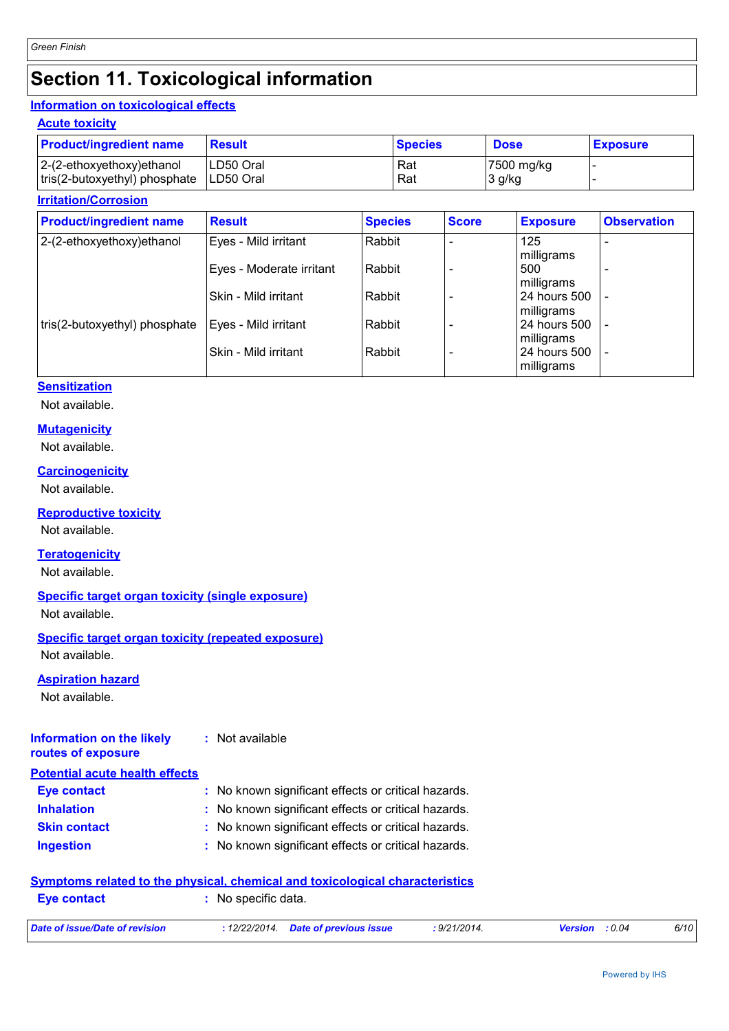# **Section 11. Toxicological information**

### **Information on toxicological effects**

### **Acute toxicity**

| <b>Product/ingredient name</b> | <b>Result</b> | <b>Species</b> | <b>Dose</b> | <b>Exposure</b> |
|--------------------------------|---------------|----------------|-------------|-----------------|
| $2-(2-ethoxyethoxy)ethanol$    | LD50 Oral     | Rat            | 7500 mg/kg  |                 |
| tris(2-butoxyethyl) phosphate  | ILD50 Oral    | Rat            | 3 g/kg      |                 |

### **Irritation/Corrosion**

| <b>Product/ingredient name</b> | <b>Result</b>            | <b>Species</b> | <b>Score</b> | <b>Exposure</b>            | <b>Observation</b>       |
|--------------------------------|--------------------------|----------------|--------------|----------------------------|--------------------------|
| 2-(2-ethoxyethoxy) ethanol     | Eyes - Mild irritant     | Rabbit         |              | 125<br>milligrams          |                          |
|                                | Eyes - Moderate irritant | Rabbit         |              | 500<br>milligrams          |                          |
|                                | Skin - Mild irritant     | Rabbit         |              | 24 hours 500<br>milligrams |                          |
| tris(2-butoxyethyl) phosphate  | Eyes - Mild irritant     | Rabbit         |              | 24 hours 500<br>milligrams | $\overline{\phantom{a}}$ |
|                                | Skin - Mild irritant     | Rabbit         |              | 24 hours 500<br>milligrams | $\qquad \qquad$          |

### **Sensitization**

Not available.

### **Mutagenicity**

Not available.

**Carcinogenicity** Not available.

### **Reproductive toxicity**

Not available.

### **Teratogenicity**

Not available.

### **Specific target organ toxicity (single exposure)**

Not available.

## **Specific target organ toxicity (repeated exposure)**

Not available.

### **Aspiration hazard**

Not available.

#### **Information on the likely routes of exposure :** Not available

| <b>Potential acute health effects</b> |                                                     |
|---------------------------------------|-----------------------------------------------------|
| Eye contact                           | : No known significant effects or critical hazards. |
| <b>Inhalation</b>                     | : No known significant effects or critical hazards. |
| <b>Skin contact</b>                   | : No known significant effects or critical hazards. |
| <b>Ingestion</b>                      | : No known significant effects or critical hazards. |

### **Symptoms related to the physical, chemical and toxicological characteristics**

| <b>Eve contact</b>             | No specific data. |                                      |              |                       |      |
|--------------------------------|-------------------|--------------------------------------|--------------|-----------------------|------|
| Date of issue/Date of revision |                   | : 12/22/2014. Date of previous issue | : 9/21/2014. | <b>Version</b> : 0.04 | 6/10 |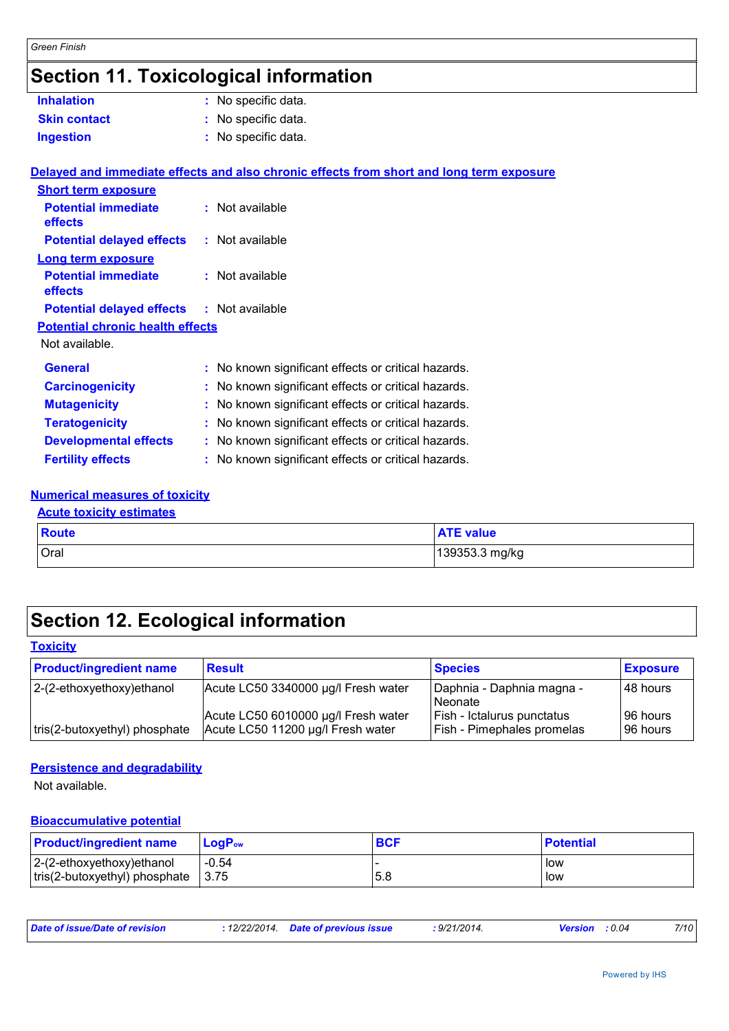# **Section 11. Toxicological information**

| <b>Inhalation</b>                                | : No specific data.                                                                      |
|--------------------------------------------------|------------------------------------------------------------------------------------------|
| <b>Skin contact</b>                              | : No specific data.                                                                      |
| <b>Ingestion</b>                                 | : No specific data.                                                                      |
|                                                  |                                                                                          |
|                                                  | Delayed and immediate effects and also chronic effects from short and long term exposure |
| <b>Short term exposure</b>                       |                                                                                          |
| <b>Potential immediate</b>                       | : Not available                                                                          |
| effects                                          |                                                                                          |
| <b>Potential delayed effects</b>                 | : Not available                                                                          |
| <b>Long term exposure</b>                        |                                                                                          |
| <b>Potential immediate</b><br>effects            | : Not available                                                                          |
| <b>Potential delayed effects : Not available</b> |                                                                                          |
| <b>Potential chronic health effects</b>          |                                                                                          |
| Not available.                                   |                                                                                          |
| <b>General</b>                                   | : No known significant effects or critical hazards.                                      |
| <b>Carcinogenicity</b>                           | : No known significant effects or critical hazards.                                      |
| <b>Mutagenicity</b>                              | : No known significant effects or critical hazards.                                      |
| <b>Teratogenicity</b>                            | : No known significant effects or critical hazards.                                      |
| <b>Developmental effects</b>                     | : No known significant effects or critical hazards.                                      |
| <b>Fertility effects</b>                         | : No known significant effects or critical hazards.                                      |
|                                                  |                                                                                          |

#### **Numerical measures of toxicity Acute toxicity estimates**

| <b>Acute toxicity estimates</b> |       |                  |
|---------------------------------|-------|------------------|
|                                 | Route | <b>ATE value</b> |
|                                 | Oral  | 139353.3 mg/kg   |

# **Section 12. Ecological information**

### **Toxicity**

| <b>Product/ingredient name</b> | <b>Result</b>                       | <b>Species</b>             | <b>Exposure</b> |
|--------------------------------|-------------------------------------|----------------------------|-----------------|
| 2-(2-ethoxyethoxy) ethanol     | Acute LC50 3340000 µg/l Fresh water | Daphnia - Daphnia magna -  | 48 hours        |
|                                |                                     | <b>Neonate</b>             |                 |
|                                | Acute LC50 6010000 µg/l Fresh water | Fish - Ictalurus punctatus | 96 hours        |
| tris(2-butoxyethyl) phosphate  | Acute LC50 11200 µg/l Fresh water   | Fish - Pimephales promelas | l 96 hours      |

### **Persistence and degradability**

Not available.

### **Bioaccumulative potential**

| <b>Product/ingredient name</b>        | $LoaPow$ | <b>BCF</b> | <b>Potential</b> |
|---------------------------------------|----------|------------|------------------|
| $ 2-(2-ethoxyethoxy)e$ thanol         | $-0.54$  |            | low              |
| $ $ tris(2-butoxyethyl) phosphate $ $ | 3.75     | 5.8        | low              |

| Date of issue/Date of revision | 12/22/2014. | <b>Date of previous issue</b> | $21/2014$ .<br><u>، رت</u> | : 0.04<br><b>Version</b> | 7/10 |
|--------------------------------|-------------|-------------------------------|----------------------------|--------------------------|------|
|                                |             |                               |                            |                          |      |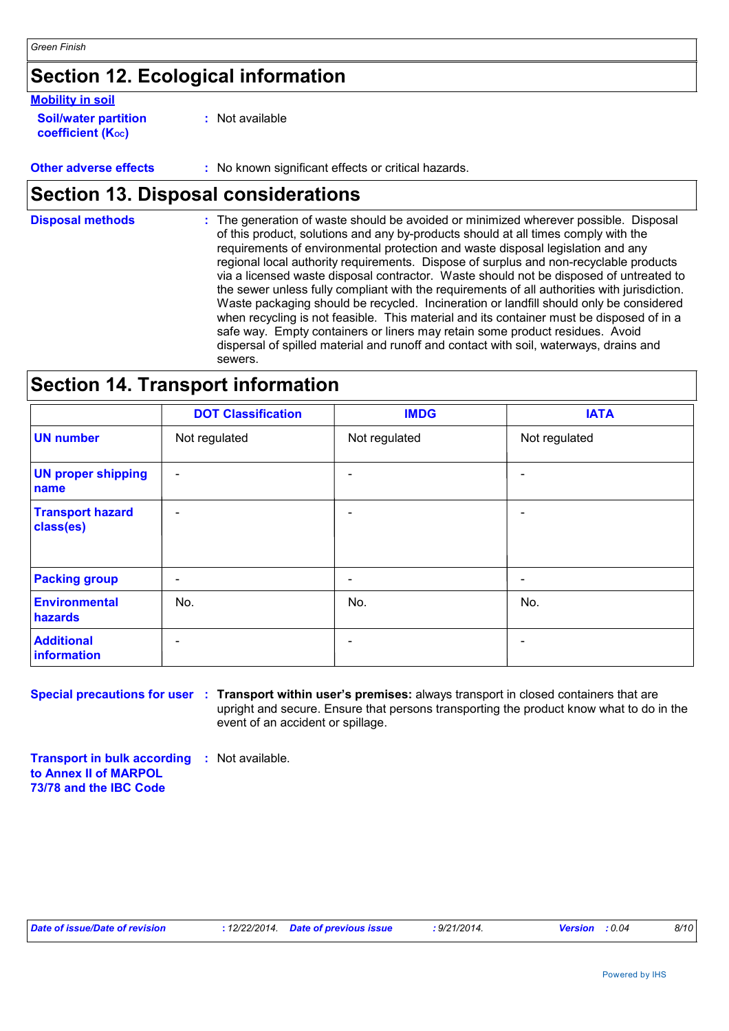# **Section 12. Ecological information**

### **Mobility in soil**

| <b>Soil/water partition</b> |  |
|-----------------------------|--|
| <b>coefficient (Koc)</b>    |  |

**:** Not available

**Other adverse effects :** No known significant effects or critical hazards.

# **Section 13. Disposal considerations**

The generation of waste should be avoided or minimized wherever possible. Disposal of this product, solutions and any by-products should at all times comply with the requirements of environmental protection and waste disposal legislation and any regional local authority requirements. Dispose of surplus and non-recyclable products via a licensed waste disposal contractor. Waste should not be disposed of untreated to the sewer unless fully compliant with the requirements of all authorities with jurisdiction. Waste packaging should be recycled. Incineration or landfill should only be considered when recycling is not feasible. This material and its container must be disposed of in a safe way. Empty containers or liners may retain some product residues. Avoid dispersal of spilled material and runoff and contact with soil, waterways, drains and sewers. **Disposal methods :**

# **Section 14. Transport information**

|                                      | <b>DOT Classification</b> | <b>IMDG</b>   | <b>IATA</b>              |
|--------------------------------------|---------------------------|---------------|--------------------------|
| <b>UN number</b>                     | Not regulated             | Not regulated | Not regulated            |
| <b>UN proper shipping</b><br>name    | $\overline{\phantom{a}}$  |               |                          |
| <b>Transport hazard</b><br>class(es) | $\overline{\phantom{a}}$  |               | $\overline{\phantom{0}}$ |
| <b>Packing group</b>                 | $\overline{\phantom{a}}$  |               | $\overline{a}$           |
| Environmental<br>hazards             | No.                       | No.           | No.                      |
| <b>Additional</b><br>information     | $\overline{\phantom{a}}$  |               |                          |

**Special precautions for user : Transport within user's premises: always transport in closed containers that are** upright and secure. Ensure that persons transporting the product know what to do in the event of an accident or spillage.

**Transport in bulk according :** Not available. **to Annex II of MARPOL 73/78 and the IBC Code**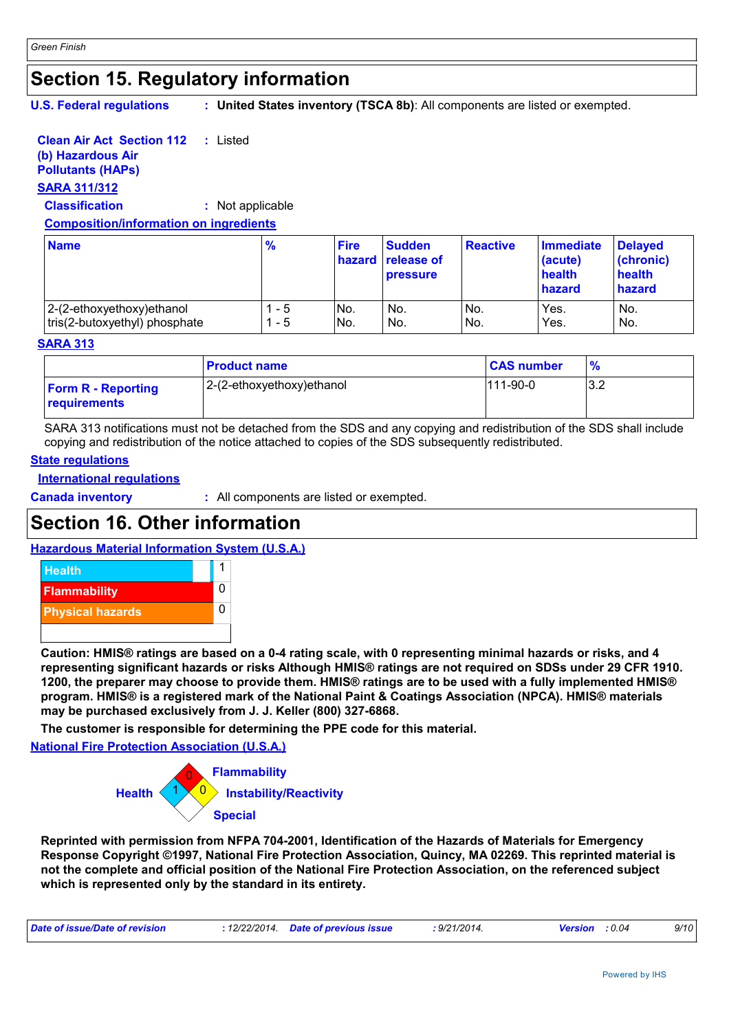# **Section 15. Regulatory information**

**U.S. Federal regulations :**

**United States inventory (TSCA 8b)**: All components are listed or exempted.

#### **Clean Air Act Section 112 :** Listed

### **(b) Hazardous Air**

# **Pollutants (HAPs)**

## **SARA 311/312**

**Classification :** Not applicable

### **Composition/information on ingredients**

| <b>Name</b>                   | $\frac{9}{6}$ | <b>Fire</b> | <b>Sudden</b><br>hazard release of<br><b>pressure</b> | <b>Reactive</b> | <b>Immediate</b><br>(acute)<br>health<br>hazard | <b>Delayed</b><br>(chronic)<br>health<br>hazard |
|-------------------------------|---------------|-------------|-------------------------------------------------------|-----------------|-------------------------------------------------|-------------------------------------------------|
| 2-(2-ethoxyethoxy) ethanol    | - 5           | No.         | No.                                                   | IN <sub>o</sub> | Yes.                                            | No.                                             |
| tris(2-butoxyethyl) phosphate | $-5$          | No.         | No.                                                   | No.             | Yes.                                            | No.                                             |

### **SARA 313**

|                                           | <b>Product name</b>       | <b>CAS number</b> | $\frac{9}{6}$ |
|-------------------------------------------|---------------------------|-------------------|---------------|
| <b>Form R - Reporting</b><br>requirements | 2-(2-ethoxyethoxy)ethanol | 111-90-0          | 3.2           |

SARA 313 notifications must not be detached from the SDS and any copying and redistribution of the SDS shall include copying and redistribution of the notice attached to copies of the SDS subsequently redistributed.

### **State regulations**

### **International regulations**

**Canada inventory :** All components are listed or exempted.

# **Section 16. Other information**

### **Hazardous Material Information System (U.S.A.)**



**Caution: HMIS® ratings are based on a 0-4 rating scale, with 0 representing minimal hazards or risks, and 4 representing significant hazards or risks Although HMIS® ratings are not required on SDSs under 29 CFR 1910. 1200, the preparer may choose to provide them. HMIS® ratings are to be used with a fully implemented HMIS® program. HMIS® is a registered mark of the National Paint & Coatings Association (NPCA). HMIS® materials may be purchased exclusively from J. J. Keller (800) 327-6868.**

**The customer is responsible for determining the PPE code for this material.**

**National Fire Protection Association (U.S.A.)**



**Reprinted with permission from NFPA 704-2001, Identification of the Hazards of Materials for Emergency Response Copyright ©1997, National Fire Protection Association, Quincy, MA 02269. This reprinted material is not the complete and official position of the National Fire Protection Association, on the referenced subject which is represented only by the standard in its entirety.**

| : 12/22/2014. Date of previous issue<br><b>Version</b> : 0.04 | Date of issue/Date of revision |  |  | : 9/21/2014. |  | 9/10 |
|---------------------------------------------------------------|--------------------------------|--|--|--------------|--|------|
|---------------------------------------------------------------|--------------------------------|--|--|--------------|--|------|